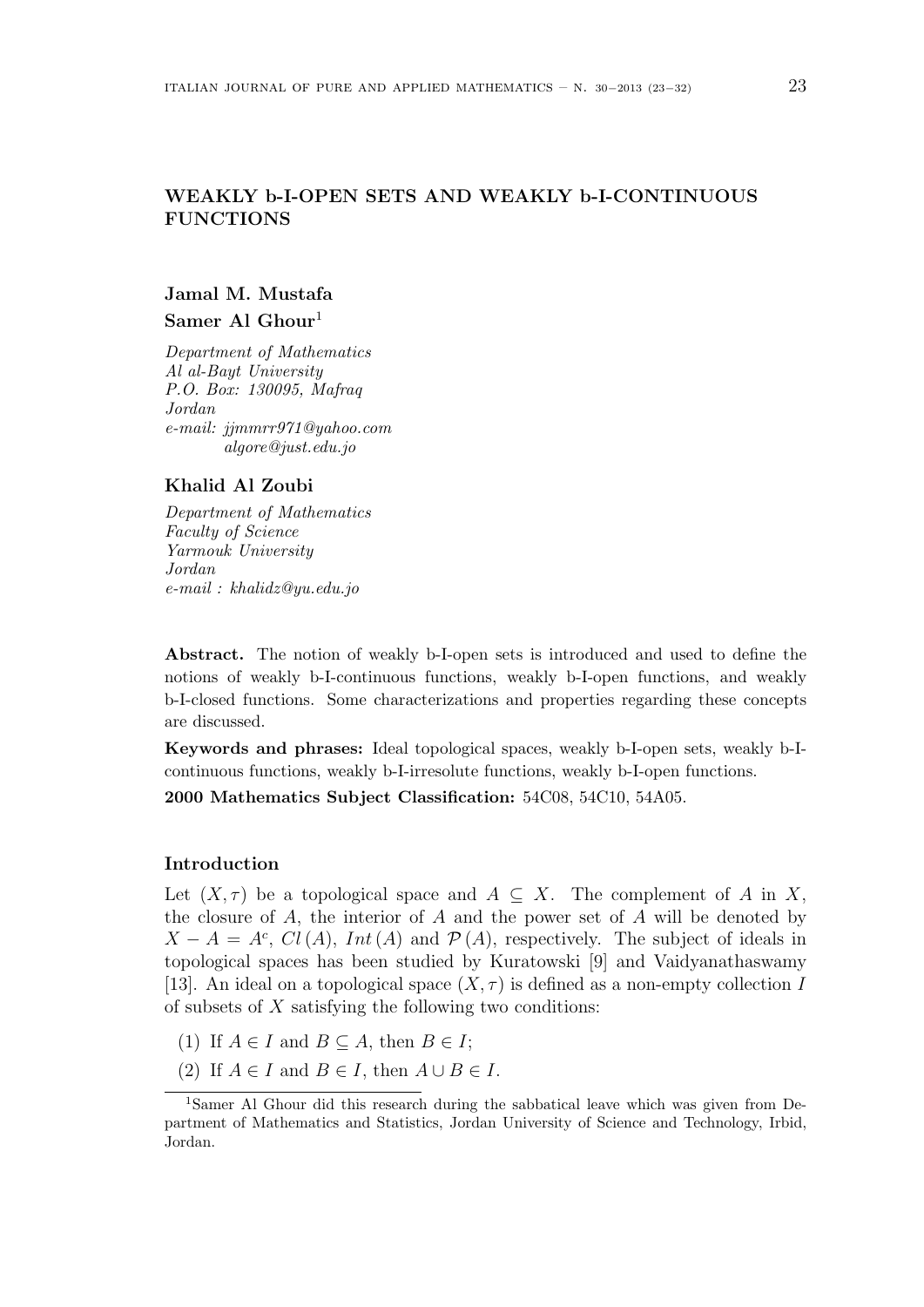# **WEAKLY b-I-OPEN SETS AND WEAKLY b-I-CONTINUOUS FUNCTIONS**

# **Jamal M. Mustafa Samer Al Ghour**<sup>1</sup>

*Department of Mathematics Al al-Bayt University P.O. Box: 130095, Mafraq Jordan e-mail: jjmmrr971@yahoo.com algore@just.edu.jo*

## **Khalid Al Zoubi**

*Department of Mathematics Faculty of Science Yarmouk University Jordan e-mail : khalidz@yu.edu.jo*

**Abstract.** The notion of weakly b-I-open sets is introduced and used to define the notions of weakly b-I-continuous functions, weakly b-I-open functions, and weakly b-I-closed functions. Some characterizations and properties regarding these concepts are discussed.

**Keywords and phrases:** Ideal topological spaces, weakly b-I-open sets, weakly b-Icontinuous functions, weakly b-I-irresolute functions, weakly b-I-open functions.

**2000 Mathematics Subject Classification:** 54C08, 54C10, 54A05.

## **Introduction**

Let  $(X, \tau)$  be a topological space and  $A \subseteq X$ . The complement of *A* in *X*, the closure of *A*, the interior of *A* and the power set of *A* will be denoted by  $X - A = A^c$ , *Cl*(*A*), *Int*(*A*) and  $P(A)$ , respectively. The subject of ideals in topological spaces has been studied by Kuratowski [9] and Vaidyanathaswamy [13]. An ideal on a topological space  $(X, \tau)$  is defined as a non-empty collection *I* of subsets of *X* satisfying the following two conditions:

- (1) If  $A \in I$  and  $B \subseteq A$ , then  $B \in I$ ;
- (2) If  $A \in I$  and  $B \in I$ , then  $A \cup B \in I$ .

<sup>1</sup>Samer Al Ghour did this research during the sabbatical leave which was given from Department of Mathematics and Statistics, Jordan University of Science and Technology, Irbid, Jordan.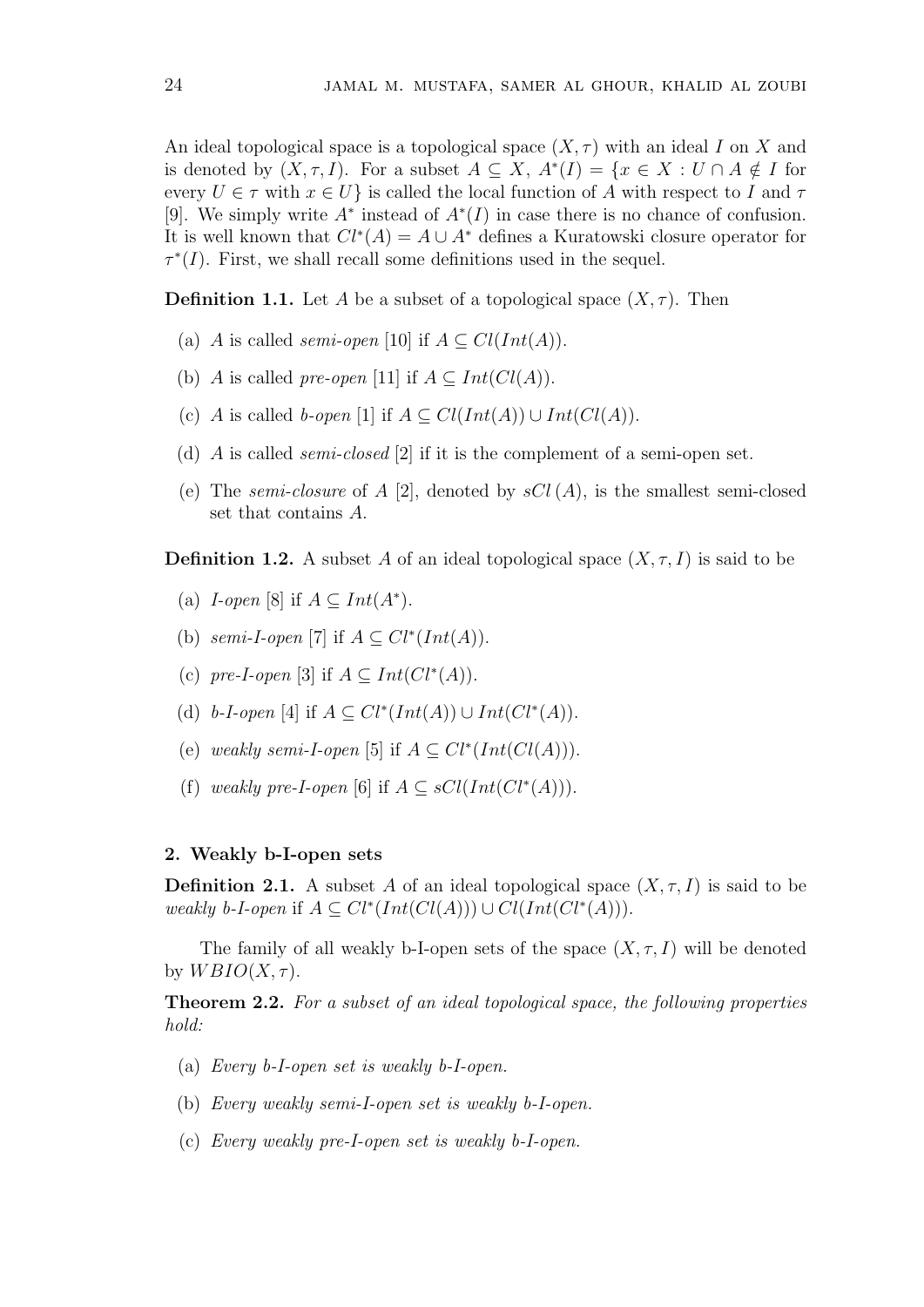An ideal topological space is a topological space  $(X, \tau)$  with an ideal *I* on *X* and is denoted by  $(X, \tau, I)$ . For a subset  $A \subseteq X$ ,  $A^*(I) = \{x \in X : U \cap A \notin I \text{ for } I \in I\}$ every  $U \in \tau$  with  $x \in U$  is called the local function of *A* with respect to *I* and  $\tau$ [9]. We simply write *A<sup>∗</sup>* instead of *A<sup>∗</sup>* (*I*) in case there is no chance of confusion. It is well known that  $Cl^*(A) = A \cup A^*$  defines a Kuratowski closure operator for  $\tau^*(I)$ . First, we shall recall some definitions used in the sequel.

**Definition 1.1.** Let *A* be a subset of a topological space  $(X, \tau)$ . Then

- (a) *A* is called *semi-open* [10] if  $A \subseteq Cl(Int(A)).$
- (b) *A* is called *pre-open* [11] if  $A \subseteq Int(Cl(A))$ .
- (c) *A* is called *b-open* [1] if  $A \subseteq Cl(Int(A)) \cup Int(Cl(A)).$
- (d) *A* is called *semi-closed* [2] if it is the complement of a semi-open set.
- (e) The *semi-closure* of  $A$  [2], denoted by  $sCl(A)$ , is the smallest semi-closed set that contains *A*.

**Definition 1.2.** A subset *A* of an ideal topological space  $(X, \tau, I)$  is said to be

- (a) *I-open* [8] if  $A \subseteq Int(A^*)$ .
- (b) *semi-I-open* [7] if  $A \subseteq Cl^*(Int(A)).$
- (c) *pre-I-open* [3] if  $A \subseteq Int(Cl^*(A))$ .
- (d) *b*-*I*-open [4] if  $A \subseteq Cl^*(Int(A)) \cup Int(Cl^*(A)).$
- (e) *weakly semi-I-open* [5] if  $A \subseteq Cl^*(Int(Cl(A))).$
- (f) *weakly pre-I-open* [6] if  $A \subseteq sCl(Int(Cl^*(A))).$

### **2. Weakly b-I-open sets**

**Definition 2.1.** A subset *A* of an ideal topological space  $(X, \tau, I)$  is said to be *weakly b-I-open* if  $A ⊆ Cl^*(Int(Cl(A))) ∪ Cl(Int(Cl^*(A))).$ 

The family of all weakly b-I-open sets of the space  $(X, \tau, I)$  will be denoted by  $WBIO(X, \tau)$ .

**Theorem 2.2.** *For a subset of an ideal topological space, the following properties hold:*

- (a) *Every b-I-open set is weakly b-I-open.*
- (b) *Every weakly semi-I-open set is weakly b-I-open.*
- (c) *Every weakly pre-I-open set is weakly b-I-open.*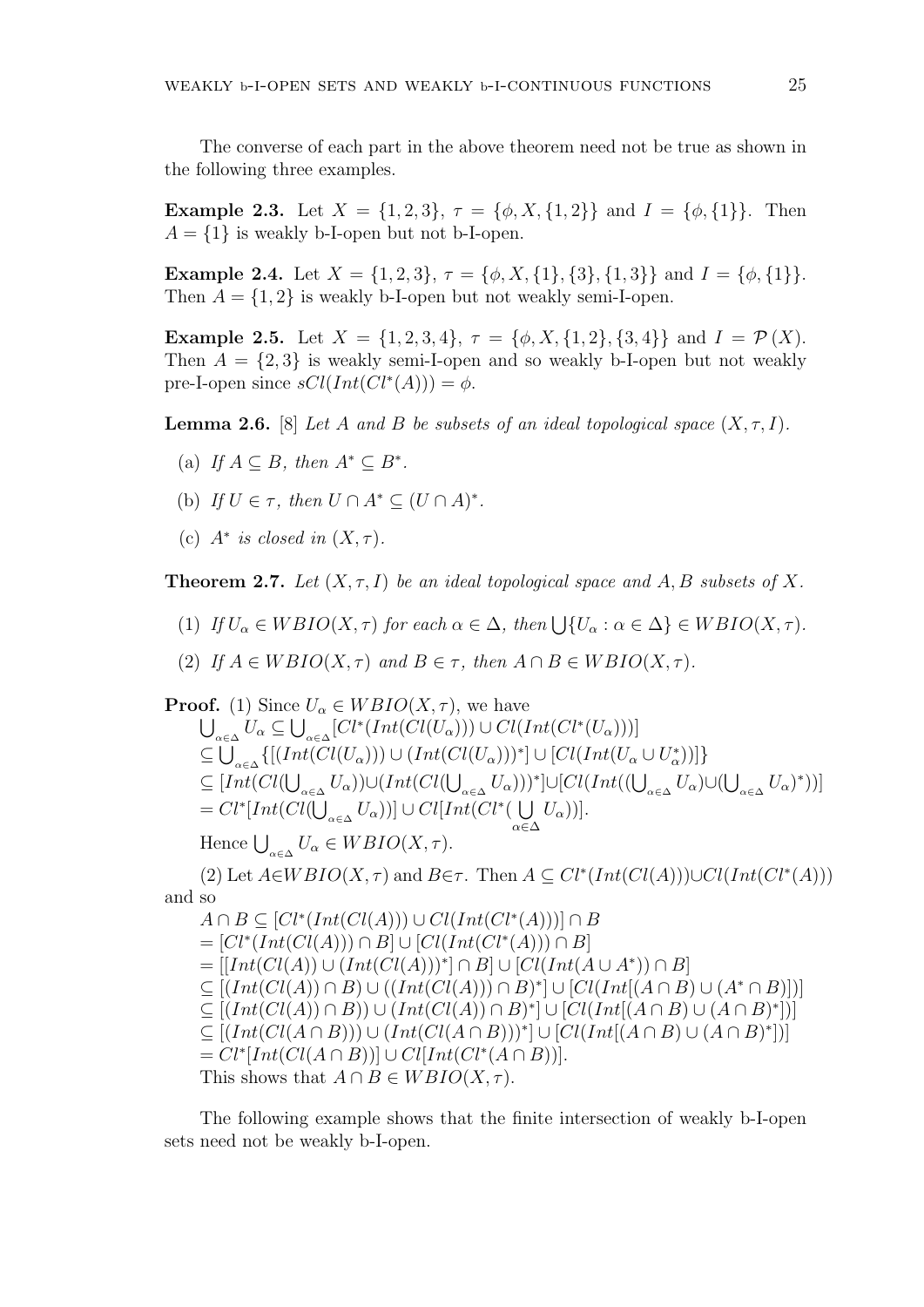The converse of each part in the above theorem need not be true as shown in the following three examples.

**Example 2.3.** Let  $X = \{1, 2, 3\}$ ,  $\tau = \{\phi, X, \{1, 2\}\}\$ and  $I = \{\phi, \{1\}\}\$ . Then  $A = \{1\}$  is weakly b-I-open but not b-I-open.

**Example 2.4.** Let  $X = \{1, 2, 3\}, \tau = \{\phi, X, \{1\}, \{3\}, \{1, 3\}\}\$ and  $I = \{\phi, \{1\}\}.$ Then  $A = \{1, 2\}$  is weakly b-I-open but not weakly semi-I-open.

**Example 2.5.** Let  $X = \{1, 2, 3, 4\}$ ,  $\tau = \{\phi, X, \{1, 2\}, \{3, 4\}\}$  and  $I = \mathcal{P}(X)$ . Then  $A = \{2,3\}$  is weakly semi-I-open and so weakly b-I-open but not weakly pre-I-open since  $sCl(Int(Cl^*(A))) = \phi$ .

**Lemma 2.6.** [8] *Let A and B be subsets of an ideal topological space*  $(X, \tau, I)$ *.* 

- (a) *If*  $A \subseteq B$ *, then*  $A^* \subseteq B^*$ .
- (b) *If*  $U \in \tau$ , then  $U \cap A^* \subseteq (U \cap A)^*$ .
- (c)  $A^*$  *is closed in*  $(X, \tau)$ *.*

**Theorem 2.7.** *Let* (*X, τ, I*) *be an ideal topological space and A, B subsets of X.*

- (1) *If*  $U_{\alpha} \in WBIO(X, \tau)$  *for each*  $\alpha \in \Delta$ *, then*  $\bigcup \{U_{\alpha} : \alpha \in \Delta\} \in WBIO(X, \tau)$ *.*
- (2) *If*  $A \in WBIO(X, \tau)$  *and*  $B \in \tau$ *, then*  $A \cap B \in WBIO(X, \tau)$ *.*

**Proof.** (1) Since  $U_{\alpha} \in WBIO(X, \tau)$ , we have  $\bigcup_{\alpha \in \Delta} U_{\alpha} \subseteq \bigcup_{\alpha \in \Delta} [Cl^*(Int(Cl(U_{\alpha}))) \cup Cl(Int(Cl^*(U_{\alpha})))]$  $\subseteq \bigcup_{\alpha \in \Delta} \{[(Int(Cl(U_{\alpha}))) \cup (Int(Cl(U_{\alpha})))^*] \cup [Cl(Int(U_{\alpha} \cup U_{\alpha}^*))]\}$  $\subseteq [Int(Cl(\bigcup_{\alpha\in\Delta}U_{\alpha}))\cup (Int(Cl(\bigcup_{\alpha\in\Delta}U_{\alpha})))^{*}] \cup [Cl(Int((\bigcup_{\alpha\in\Delta}U_{\alpha})\cup(\bigcup_{\alpha\in\Delta}U_{\alpha})^{*}))]$  $= Cl^*[Int(Cl(\bigcup_{\alpha \in \Delta} U_{\alpha}))] \cup Cl[Int(Cl^*(\bigcup_{\alpha \in \Delta} U_{\alpha}))]$ *α∈*∆ *Uα*))]. Hence  $\bigcup_{\alpha \in \Delta} U_{\alpha} \in WBIO(X, \tau)$ .  $P(X|X, \tau)$  and  $B \in \tau$ . Then  $A \subseteq Cl^*(Int(Cl(A))) \cup Cl(Int(Cl^*(A)))$ and so  $A ∩ B ⊆ [Cl^*(Int(Cl(A))) ∪ Cl(Int(Cl^*(A)))] ∩ B$ = [*Cl<sup>∗</sup>* (*Int*(*Cl*(*A*))) *∩ B*] *∪* [*Cl*(*Int*(*Cl<sup>∗</sup>* (*A*))) *∩ B*]

= [[*Int*(*Cl*(*A*)) *∪* (*Int*(*Cl*(*A*)))*<sup>∗</sup>* ] *∩ B*] *∪* [*Cl*(*Int*(*A ∪ A<sup>∗</sup>* )) *∩ B*]  $\subseteq [(Int(Cl(A)) \cap B) \cup ((Int(Cl(A))) \cap B)^*] \cup [Cl(Int[(A \cap B) \cup (A^* \cap B)])]$  $\subseteq [(Int(Cl(A)) \cap B)) \cup (Int(Cl(A)) \cap B)^*] \cup [Cl(Int[(A \cap B) \cup (A \cap B)^*)])$  $\subseteq [(Int(Cl(A\cap B)))\cup (Int(Cl(A\cap B)))^*]\cup [Cl(Int[(A\cap B)\cup (A\cap B)^*)])$ = *Cl<sup>∗</sup>* [*Int*(*Cl*(*A ∩ B*))] *∪ Cl*[*Int*(*Cl<sup>∗</sup>* (*A ∩ B*))]. This shows that  $A \cap B \in WBIO(X, \tau)$ .

The following example shows that the finite intersection of weakly b-I-open sets need not be weakly b-I-open.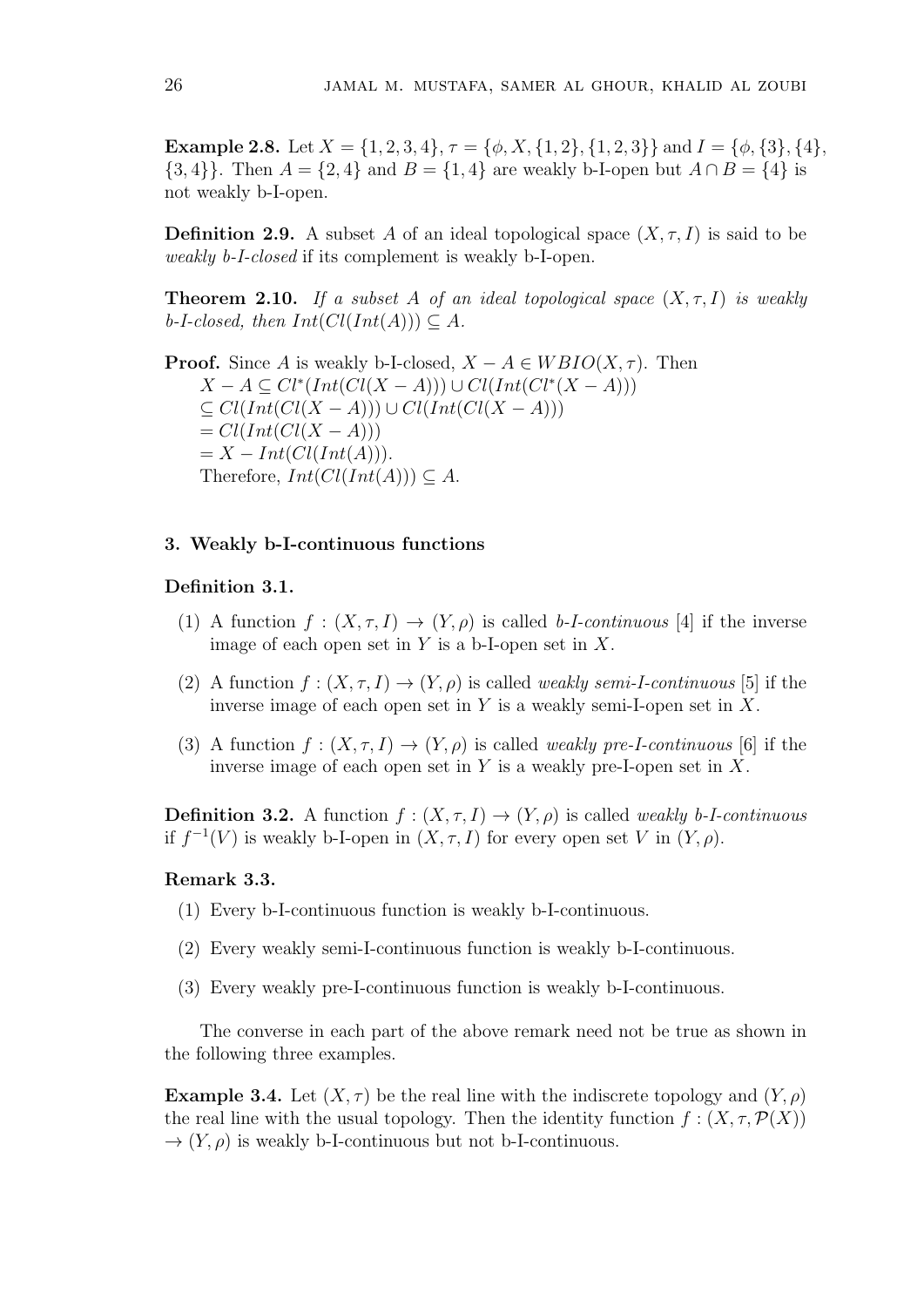**Example 2.8.** Let  $X = \{1, 2, 3, 4\}, \tau = \{\phi, X, \{1, 2\}, \{1, 2, 3\}\}\$ and  $I = \{\phi, \{3\}, \{4\},\$ *{*3*,* 4*}}*. Then *A* =  $\{2, 4\}$  and *B* =  $\{1, 4\}$  are weakly b-I-open but  $A \cap B = \{4\}$  is not weakly b-I-open.

**Definition 2.9.** A subset *A* of an ideal topological space  $(X, \tau, I)$  is said to be *weakly b-I-closed* if its complement is weakly b-I-open.

**Theorem 2.10.** *If a subset A of an ideal topological space* (*X, τ, I*) *is weakly*  $b$ -*I-closed, then*  $Int(Cl(int(A))) \subseteq A$ *.* 

**Proof.** Since *A* is weakly b-I-closed,  $X - A \in WBIO(X, \tau)$ . Then *X − A ⊆ Cl<sup>∗</sup>* (*Int*(*Cl*(*X − A*))) *∪ Cl*(*Int*(*Cl<sup>∗</sup>* (*X − A*))) *⊆ Cl*(*Int*(*Cl*(*X − A*))) *∪ Cl*(*Int*(*Cl*(*X − A*)))  $= Cl(Int(Cl(X-A)))$  $= X - Int(ClInt(A))).$ Therefore,  $Int(Cl(int(A))) \subseteq A$ .

#### **3. Weakly b-I-continuous functions**

#### **Definition 3.1.**

- (1) A function  $f : (X, \tau, I) \to (Y, \rho)$  is called *b-I-continuous* [4] if the inverse image of each open set in *Y* is a b-I-open set in *X*.
- (2) A function  $f : (X, \tau, I) \to (Y, \rho)$  is called *weakly semi-I-continuous* [5] if the inverse image of each open set in *Y* is a weakly semi-I-open set in *X*.
- (3) A function  $f : (X, \tau, I) \to (Y, \rho)$  is called *weakly pre-I-continuous* [6] if the inverse image of each open set in *Y* is a weakly pre-I-open set in *X*.

**Definition 3.2.** A function  $f : (X, \tau, I) \rightarrow (Y, \rho)$  is called *weakly b-I-continuous* if  $f^{-1}(V)$  is weakly b-I-open in  $(X, \tau, I)$  for every open set V in  $(Y, \rho)$ .

### **Remark 3.3.**

- (1) Every b-I-continuous function is weakly b-I-continuous.
- (2) Every weakly semi-I-continuous function is weakly b-I-continuous.
- (3) Every weakly pre-I-continuous function is weakly b-I-continuous.

The converse in each part of the above remark need not be true as shown in the following three examples.

**Example 3.4.** Let  $(X, \tau)$  be the real line with the indiscrete topology and  $(Y, \rho)$ the real line with the usual topology. Then the identity function  $f : (X, \tau, \mathcal{P}(X))$  $\rightarrow$   $(Y, \rho)$  is weakly b-I-continuous but not b-I-continuous.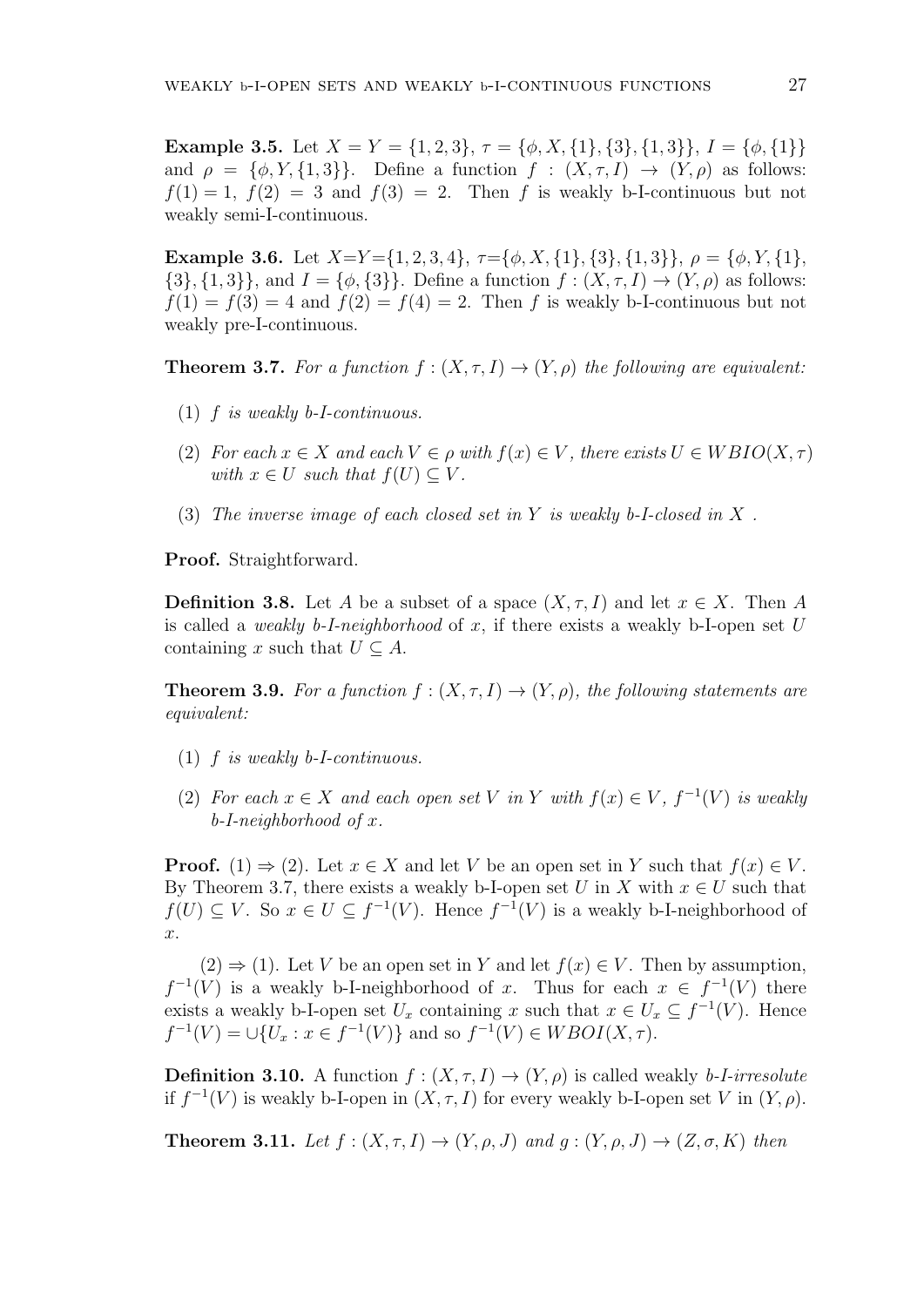**Example 3.5.** Let  $X = Y = \{1, 2, 3\}, \tau = \{\phi, X, \{1\}, \{3\}, \{1, 3\}\}, I = \{\phi, \{1\}\}\$ and  $\rho = {\phi, Y, \{1,3\}}$ . Define a function  $f : (X, \tau, I) \to (Y, \rho)$  as follows:  $f(1) = 1$ ,  $f(2) = 3$  and  $f(3) = 2$ . Then *f* is weakly b-I-continuous but not weakly semi-I-continuous.

**Example 3.6.** Let  $X=Y=\{1,2,3,4\}, \tau=\{\phi, X,\{1\},\{3\},\{1,3\}\}, \rho=\{\phi, Y,\{1\},\$  ${3}, {1, 3}$ , and  $I = {\phi, {3}}$ . Define a function  $f : (X, \tau, I) \to (Y, \rho)$  as follows:  $f(1) = f(3) = 4$  and  $f(2) = f(4) = 2$ . Then *f* is weakly b-I-continuous but not weakly pre-I-continuous.

**Theorem 3.7.** For a function  $f : (X, \tau, I) \to (Y, \rho)$  the following are equivalent:

- (1) *f is weakly b-I-continuous.*
- (2) *For each*  $x \in X$  *and each*  $V \in \rho$  *with*  $f(x) \in V$ *, there exists*  $U \in WBIO(X, \tau)$ *with*  $x \in U$  *such that*  $f(U) \subset V$ .
- (3) *The inverse image of each closed set in Y is weakly b-I-closed in X .*

**Proof.** Straightforward.

**Definition 3.8.** Let *A* be a subset of a space  $(X, \tau, I)$  and let  $x \in X$ . Then *A* is called a *weakly b-I-neighborhood* of *x*, if there exists a weakly b-I-open set *U* containing *x* such that  $U \subseteq A$ .

**Theorem 3.9.** For a function  $f: (X, \tau, I) \rightarrow (Y, \rho)$ , the following statements are *equivalent:*

- (1) *f is weakly b-I-continuous.*
- (2) For each  $x \in X$  and each open set V in Y with  $f(x) \in V$ ,  $f^{-1}(V)$  is weakly *b-I-neighborhood of x.*

**Proof.** (1)  $\Rightarrow$  (2). Let  $x \in X$  and let *V* be an open set in *Y* such that  $f(x) \in V$ . By Theorem 3.7, there exists a weakly b-I-open set *U* in *X* with  $x \in U$  such that *f*(*U*) ⊆ *V*. So  $x \in U \subseteq f^{-1}(V)$ . Hence  $f^{-1}(V)$  is a weakly b-I-neighborhood of *x*.

(2)  $\Rightarrow$  (1). Let *V* be an open set in *Y* and let *f*(*x*)  $\in$  *V*. Then by assumption,  $f^{-1}(V)$  is a weakly b-I-neighborhood of *x*. Thus for each  $x \in f^{-1}(V)$  there exists a weakly b-I-open set  $U_x$  containing  $x$  such that  $x \in U_x \subseteq f^{-1}(V)$ . Hence  $f^{-1}(V) = \cup \{U_x : x \in f^{-1}(V)\}$  and so  $f^{-1}(V) \in WBOI(X, \tau)$ .

**Definition 3.10.** A function  $f : (X, \tau, I) \rightarrow (Y, \rho)$  is called weakly *b-I-irresolute* if  $f^{-1}(V)$  is weakly b-I-open in  $(X, \tau, I)$  for every weakly b-I-open set *V* in  $(Y, \rho)$ .

**Theorem 3.11.** *Let*  $f : (X, \tau, I) \rightarrow (Y, \rho, J)$  *and*  $g : (Y, \rho, J) \rightarrow (Z, \sigma, K)$  *then*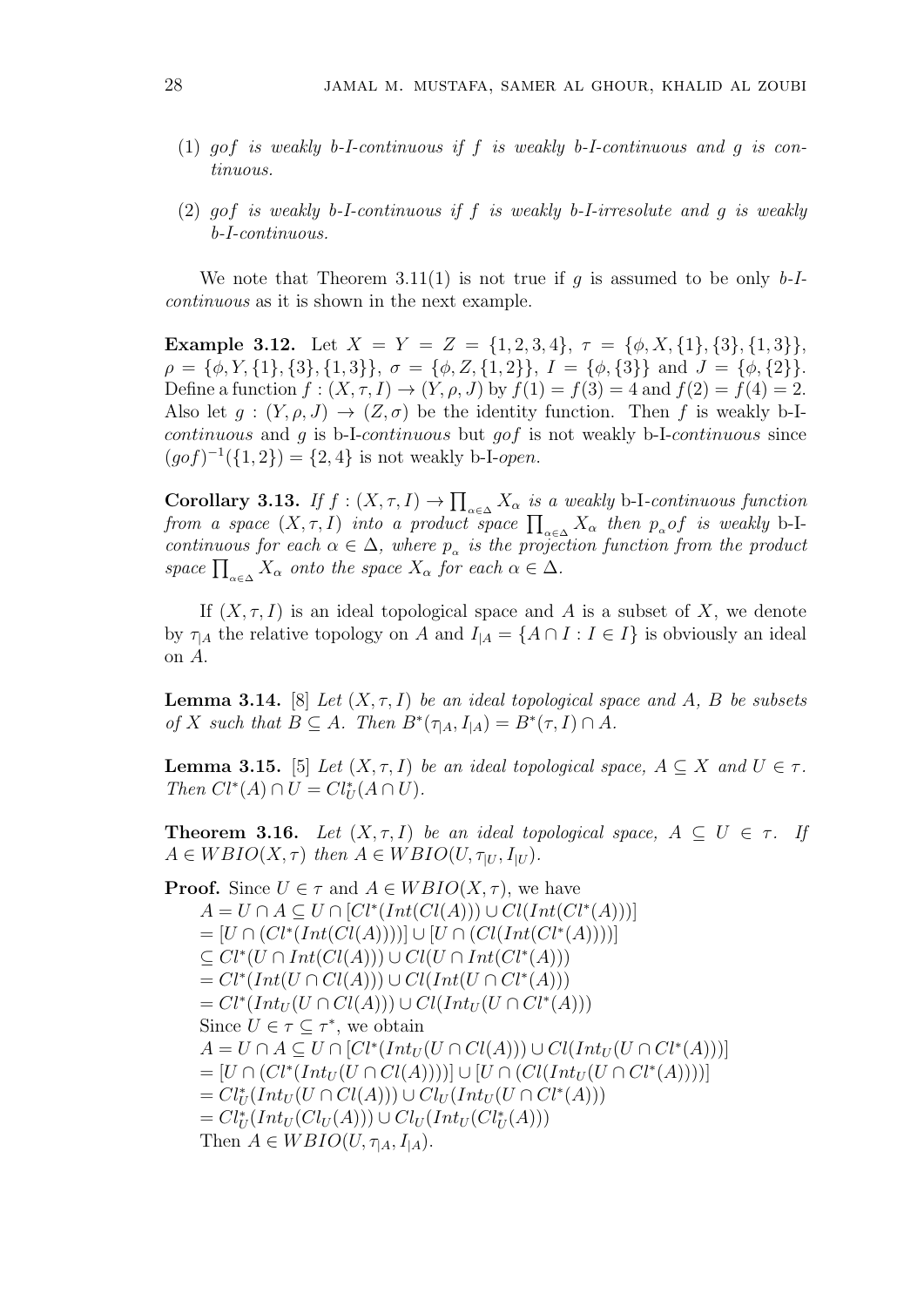- (1) *gof is weakly b-I-continuous if f is weakly b-I-continuous and g is continuous.*
- (2) *gof is weakly b-I-continuous if f is weakly b-I-irresolute and g is weakly b-I-continuous.*

We note that Theorem 3.11(1) is not true if *g* is assumed to be only *b-Icontinuous* as it is shown in the next example.

**Example 3.12.** Let  $X = Y = Z = \{1, 2, 3, 4\}, \tau = \{\phi, X, \{1\}, \{3\}, \{1, 3\}\},\$  $\rho = {\phi, Y, {1}, {3}, {1, 3}}, \sigma = {\phi, Z, {1, 2}}, I = {\phi, {3}}$  and  $J = {\phi, {2}}$ . Define a function  $f : (X, \tau, I) \to (Y, \rho, J)$  by  $f(1) = f(3) = 4$  and  $f(2) = f(4) = 2$ . Also let  $g: (Y, \rho, J) \to (Z, \sigma)$  be the identity function. Then f is weakly b-I*continuous* and *g* is b-I-*continuous* but *gof* is not weakly b-I-*continuous* since  $(gof)^{-1}(\{1,2\}) = \{2,4\}$  is not weakly b-I-*open*.

**Corollary 3.13.** *If*  $f : (X, \tau, I) \to \prod_{\alpha \in \Delta} X_\alpha$  *is a weakly* b-I*-continuous function from a space*  $(X, \tau, I)$  *into a product space*  $\prod_{\alpha \in \Delta} X_{\alpha}$  *then*  $p_{\alpha}$  *of is weakly* b-I*continuous for each*  $\alpha \in \Delta$ *, where*  $p_{\alpha}$  *is the projection function from the product space*  $\prod_{\alpha \in \Delta} X_{\alpha}$  *onto the space*  $X_{\alpha}$  *for each*  $\alpha \in \Delta$ *.* 

If  $(X, \tau, I)$  is an ideal topological space and A is a subset of X, we denote by  $\tau_{A}$  the relative topology on *A* and  $I_{A} = \{A \cap I : I \in I\}$  is obviously an ideal on *A*.

**Lemma 3.14.** [8] *Let*  $(X, \tau, I)$  *be an ideal topological space and*  $A$ *,*  $B$  *be subsets*  $of X \text{ such that } B \subseteq A.$  Then  $B^*(\tau_{|A}, I_{|A}) = B^*(\tau, I) \cap A.$ 

**Lemma 3.15.** [5] *Let*  $(X, \tau, I)$  *be an ideal topological space,*  $A \subseteq X$  *and*  $U \in \tau$ *. Then*  $Cl^*(A) \cap U = Cl^*U(L) \cap U$ .

**Theorem 3.16.** *Let*  $(X, \tau, I)$  *be an ideal topological space,*  $A \subseteq U \in \tau$ *. If*  $A \in WBIO(X, \tau)$  *then*  $A \in WBIO(U, \tau_{|U}, I_{|U})$ *.* 

Proof. Since 
$$
U \in \tau
$$
 and  $A \in WBIO(X, \tau)$ , we have  
\n
$$
A = U \cap A \subseteq U \cap [Cl^*(Int(Cl(A))) \cup Cl(Int(Cl^*(A)))]
$$
\n
$$
= [U \cap (Cl^*(Int(Cl(A))))] \cup [U \cap (Cl(int(Cl^*(A))))]
$$
\n
$$
\subseteq Cl^*(U \cap Int(Cl(A))) \cup Cl(U \cap Int(Cl^*(A)))
$$
\n
$$
= Cl^*(Int(U \cap Cl(A))) \cup Cl(Int(U \cap Cl^*(A)))
$$
\n
$$
= Cl^*(Int_U(U \cap Cl(A))) \cup Cl(Int_U(U \cap Cl^*(A)))
$$
\nSince  $U \in \tau \subseteq \tau^*$ , we obtain  
\n
$$
A = U \cap A \subseteq U \cap [Cl^*(Int_U(U \cap Cl(A))) \cup Cl(Int_U(U \cap Cl^*(A)))]
$$
\n
$$
= [U \cap (Cl^*(Int_U(U \cap Cl(A))))] \cup [U \cap (Cl(Int_U(U \cap Cl^*(A))))]
$$
\n
$$
= Cl^*_U(Int_U(U \cap Cl(A))) \cup Cl_U(Int_U(U \cap Cl^*(A)))
$$
\n
$$
= Cl^*_U(Int_U(Cl_U(A))) \cup Cl_U(Int_U(U \cap Cl^*(A)))
$$
\n
$$
= Cl^*_U(Int_U(Cl_U(A))) \cup Cl_U(Int_U(Cl^*(A)))
$$
\nThen  $A \in WBIO(U, \tau_{[A}, I_{[A)}).$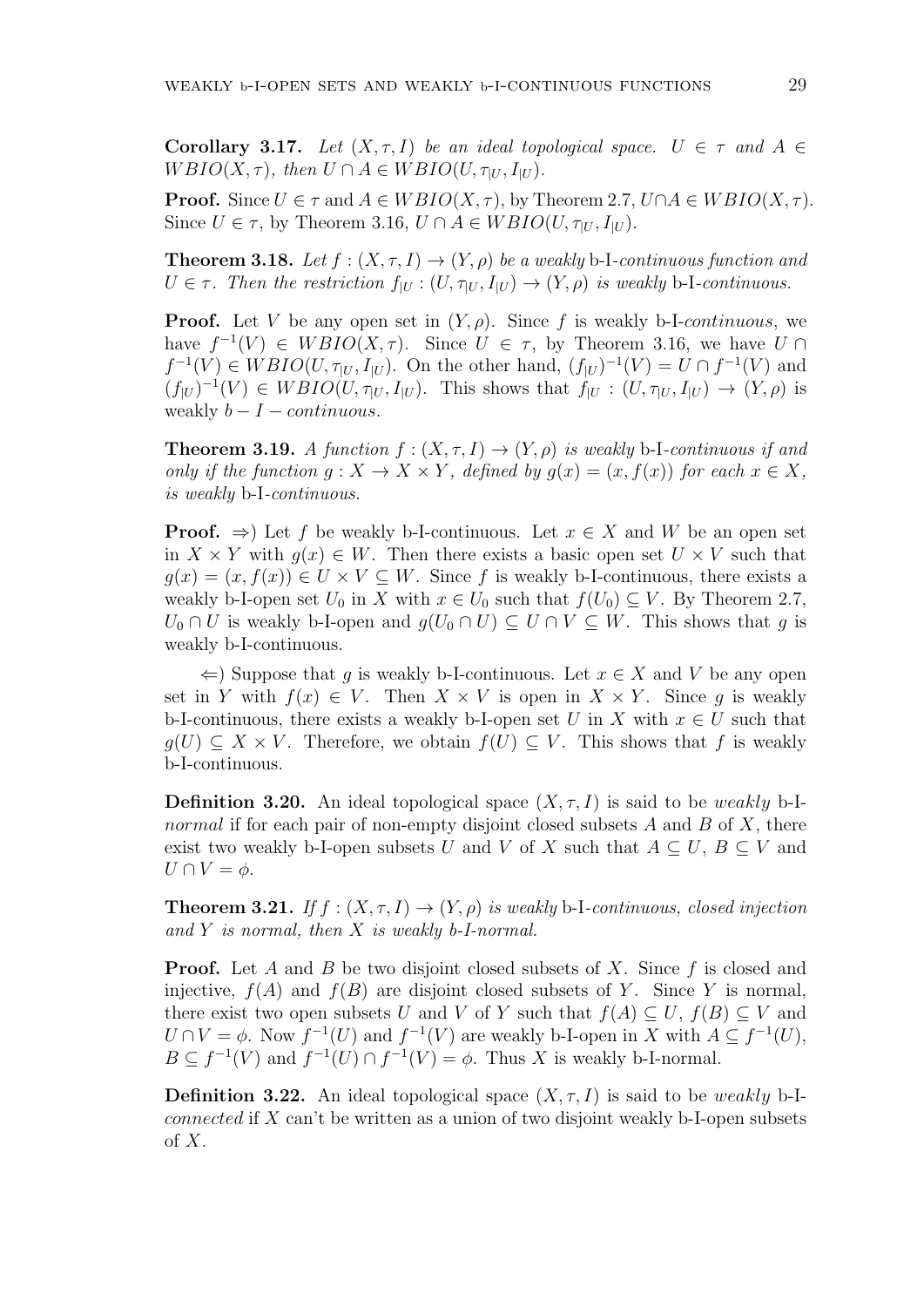**Corollary 3.17.** Let  $(X, \tau, I)$  be an ideal topological space.  $U \in \tau$  and  $A \in$  $W \text{BIO}(X, \tau)$ *, then*  $U \cap A \in W \text{BIO}(U, \tau_{|U}, I_{|U})$ *.* 

**Proof.** Since  $U \in \tau$  and  $A \in WBIO(X, \tau)$ , by Theorem 2.7,  $U \cap A \in WBIO(X, \tau)$ . Since  $U \in \tau$ , by Theorem 3.16,  $U \cap A \in WBIO(U, \tau_{|U}, I_{|U})$ .

**Theorem 3.18.** Let  $f : (X, \tau, I) \to (Y, \rho)$  be a weakly b-I-continuous function and  $U \in \tau$ . Then the restriction  $f_{|U} : (U, \tau_{|U}, I_{|U}) \to (Y, \rho)$  is weakly b-I-continuous.

**Proof.** Let *V* be any open set in  $(Y, \rho)$ . Since f is weakly b-I-*continuous*, we have  $f^{-1}(V) \in WBIO(X, \tau)$ . Since  $U \in \tau$ , by Theorem 3.16, we have  $U \cap$  $f^{-1}(V) \in WBIO(U, \tau_{|U}, I_{|U})$ . On the other hand,  $(f_{|U})^{-1}(V) = U \cap f^{-1}(V)$  and  $(f_{|U})^{-1}(V) \in WBIO(U, \tau_{|U}, I_{|U})$ . This shows that  $f_{|U} : (U, \tau_{|U}, I_{|U}) \to (Y, \rho)$  is weakly  $b - I - \text{continuous}$ .

**Theorem 3.19.** *A function*  $f : (X, \tau, I) \rightarrow (Y, \rho)$  *is weakly* b-I*-continuous if and only if the function*  $g: X \to X \times Y$ *, defined by*  $g(x) = (x, f(x))$  *for each*  $x \in X$ *, is weakly* b-I*-continuous.*

**Proof.**  $\Rightarrow$  Let f be weakly b-I-continuous. Let  $x \in X$  and W be an open set in  $X \times Y$  with  $g(x) \in W$ . Then there exists a basic open set  $U \times V$  such that  $q(x) = (x, f(x)) \in U \times V \subseteq W$ . Since f is weakly b-I-continuous, there exists a weakly b-I-open set  $U_0$  in  $X$  with  $x \in U_0$  such that  $f(U_0) \subseteq V$ . By Theorem 2.7,  $U_0 \cap U$  is weakly b-I-open and  $g(U_0 \cap U) \subseteq U \cap V \subseteq W$ . This shows that *g* is weakly b-I-continuous.

*⇐*) Suppose that *g* is weakly b-I-continuous. Let *x ∈ X* and *V* be any open set in *Y* with  $f(x) \in V$ . Then  $X \times V$  is open in  $X \times Y$ . Since g is weakly b-I-continuous, there exists a weakly b-I-open set *U* in *X* with  $x \in U$  such that *g*(*U*) ⊂ *X* × *V*. Therefore, we obtain  $f(U)$  ⊂ *V*. This shows that *f* is weakly b-I-continuous.

**Definition 3.20.** An ideal topological space  $(X, \tau, I)$  is said to be *weakly* b-I*normal* if for each pair of non-empty disjoint closed subsets *A* and *B* of *X*, there exist two weakly b-I-open subsets *U* and *V* of *X* such that  $A \subseteq U, B \subseteq V$  and  $U \cap V = \phi$ .

**Theorem 3.21.** *If*  $f : (X, \tau, I) \rightarrow (Y, \rho)$  *is weakly* b-I*-continuous, closed injection and Y is normal, then X is weakly b-I-normal.*

**Proof.** Let *A* and *B* be two disjoint closed subsets of *X*. Since *f* is closed and injective,  $f(A)$  and  $f(B)$  are disjoint closed subsets of *Y*. Since *Y* is normal, there exist two open subsets *U* and *V* of *Y* such that  $f(A) \subseteq U$ ,  $f(B) \subseteq V$  and  $U \cap V = \phi$ . Now  $f^{-1}(U)$  and  $f^{-1}(V)$  are weakly b-I-open in *X* with  $A \subseteq f^{-1}(U)$ ,  $B \subseteq f^{-1}(V)$  and  $f^{-1}(U) \cap f^{-1}(V) = \phi$ . Thus *X* is weakly b-I-normal.

**Definition 3.22.** An ideal topological space  $(X, \tau, I)$  is said to be *weakly* b-I*connected* if *X* can't be written as a union of two disjoint weakly b-I-open subsets of *X*.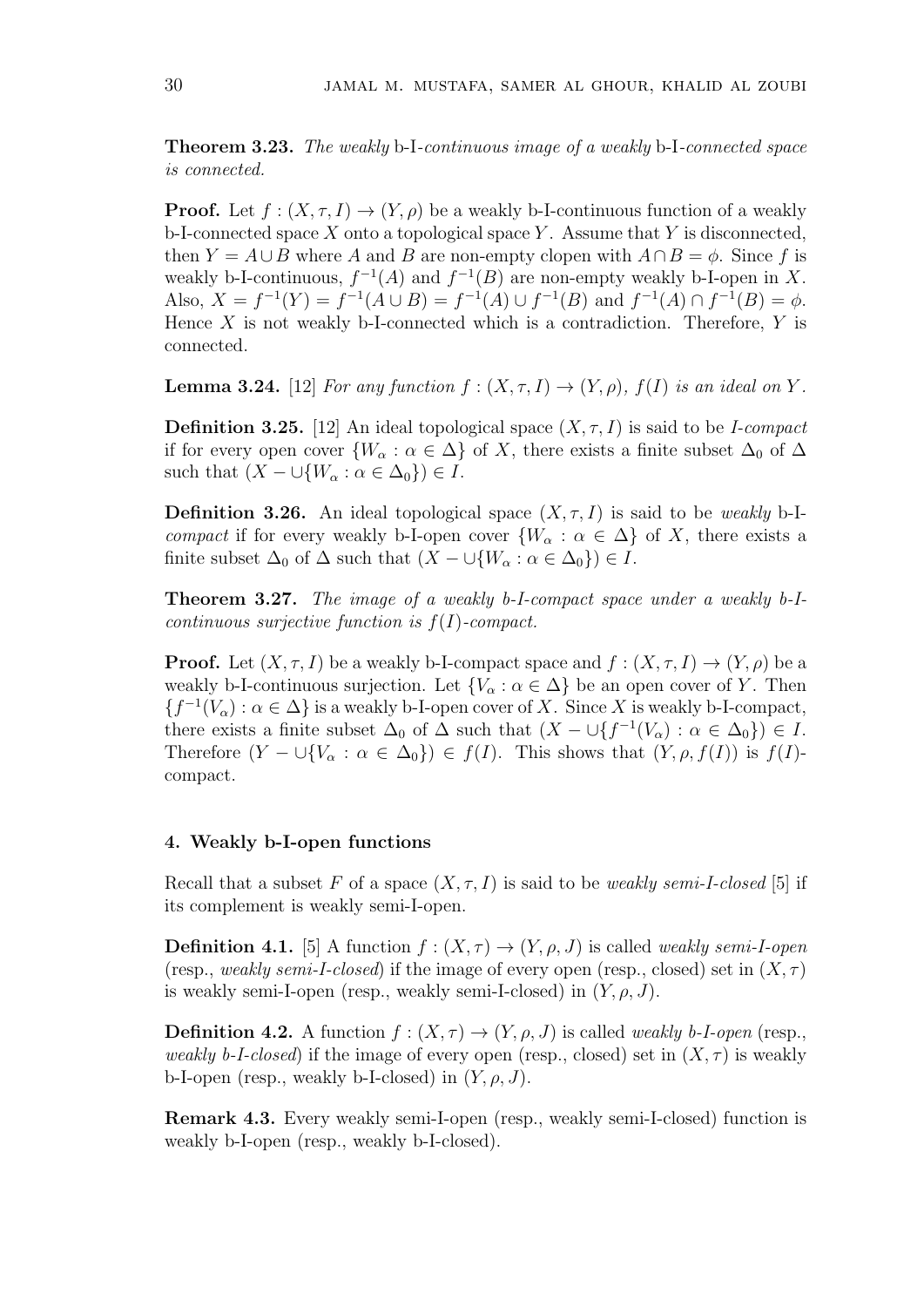**Theorem 3.23.** *The weakly* b-I*-continuous image of a weakly* b-I*-connected space is connected.*

**Proof.** Let  $f : (X, \tau, I) \to (Y, \rho)$  be a weakly b-I-continuous function of a weakly b-I-connected space *X* onto a topological space *Y* . Assume that *Y* is disconnected, then  $Y = A \cup B$  where *A* and *B* are non-empty clopen with  $A \cap B = \phi$ . Since *f* is weakly b-I-continuous,  $f^{-1}(A)$  and  $f^{-1}(B)$  are non-empty weakly b-I-open in X. Also,  $X = f^{-1}(Y) = f^{-1}(A \cup B) = f^{-1}(A) \cup f^{-1}(B)$  and  $f^{-1}(A) \cap f^{-1}(B) = \phi$ . Hence *X* is not weakly b-I-connected which is a contradiction. Therefore, *Y* is connected.

**Lemma 3.24.** [12] *For any function*  $f : (X, \tau, I) \rightarrow (Y, \rho)$ ,  $f(I)$  *is an ideal on Y*.

**Definition 3.25.** [12] An ideal topological space (*X, τ, I*) is said to be *I-compact* if for every open cover  $\{W_\alpha : \alpha \in \Delta\}$  of *X*, there exists a finite subset  $\Delta_0$  of  $\Delta$ such that  $(X - \bigcup \{W_\alpha : \alpha \in \Delta_0\}) \in I$ .

**Definition 3.26.** An ideal topological space  $(X, \tau, I)$  is said to be *weakly* b-I*compact* if for every weakly b-I-open cover  ${W_\alpha : \alpha \in \Delta}$  of *X*, there exists a finite subset  $\Delta_0$  of  $\Delta$  such that  $(X - \cup \{W_\alpha : \alpha \in \Delta_0\}) \in I$ .

**Theorem 3.27.** *The image of a weakly b-I-compact space under a weakly b-Icontinuous surjective function is f*(*I*)*-compact.*

**Proof.** Let  $(X, \tau, I)$  be a weakly b-I-compact space and  $f : (X, \tau, I) \to (Y, \rho)$  be a weakly b-I-continuous surjection. Let  ${V_\alpha : \alpha \in \Delta}$  be an open cover of *Y*. Then  ${f^{-1}(V_\alpha) : \alpha \in \Delta}$  is a weakly b-I-open cover of *X*. Since *X* is weakly b-I-compact, there exists a finite subset  $\Delta_0$  of  $\Delta$  such that  $(X - \bigcup \{f^{-1}(V_\alpha) : \alpha \in \Delta_0\}) \in I$ . Therefore  $(Y - \cup \{V_\alpha : \alpha \in \Delta_0\}) \in f(I)$ . This shows that  $(Y, \rho, f(I))$  is  $f(I)$ compact.

# **4. Weakly b-I-open functions**

Recall that a subset F of a space  $(X, \tau, I)$  is said to be *weakly semi-I-closed* [5] if its complement is weakly semi-I-open.

**Definition 4.1.** [5] A function  $f : (X, \tau) \to (Y, \rho, J)$  is called *weakly semi-I-open* (resp., *weakly semi-I-closed*) if the image of every open (resp., closed) set in  $(X, \tau)$ is weakly semi-I-open (resp., weakly semi-I-closed) in  $(Y, \rho, J)$ .

**Definition 4.2.** A function  $f : (X, \tau) \to (Y, \rho, J)$  is called *weakly b-I-open* (resp., *weakly b-I-closed*) if the image of every open (resp., closed) set in  $(X, \tau)$  is weakly b-I-open (resp., weakly b-I-closed) in  $(Y, \rho, J)$ .

**Remark 4.3.** Every weakly semi-I-open (resp., weakly semi-I-closed) function is weakly b-I-open (resp., weakly b-I-closed).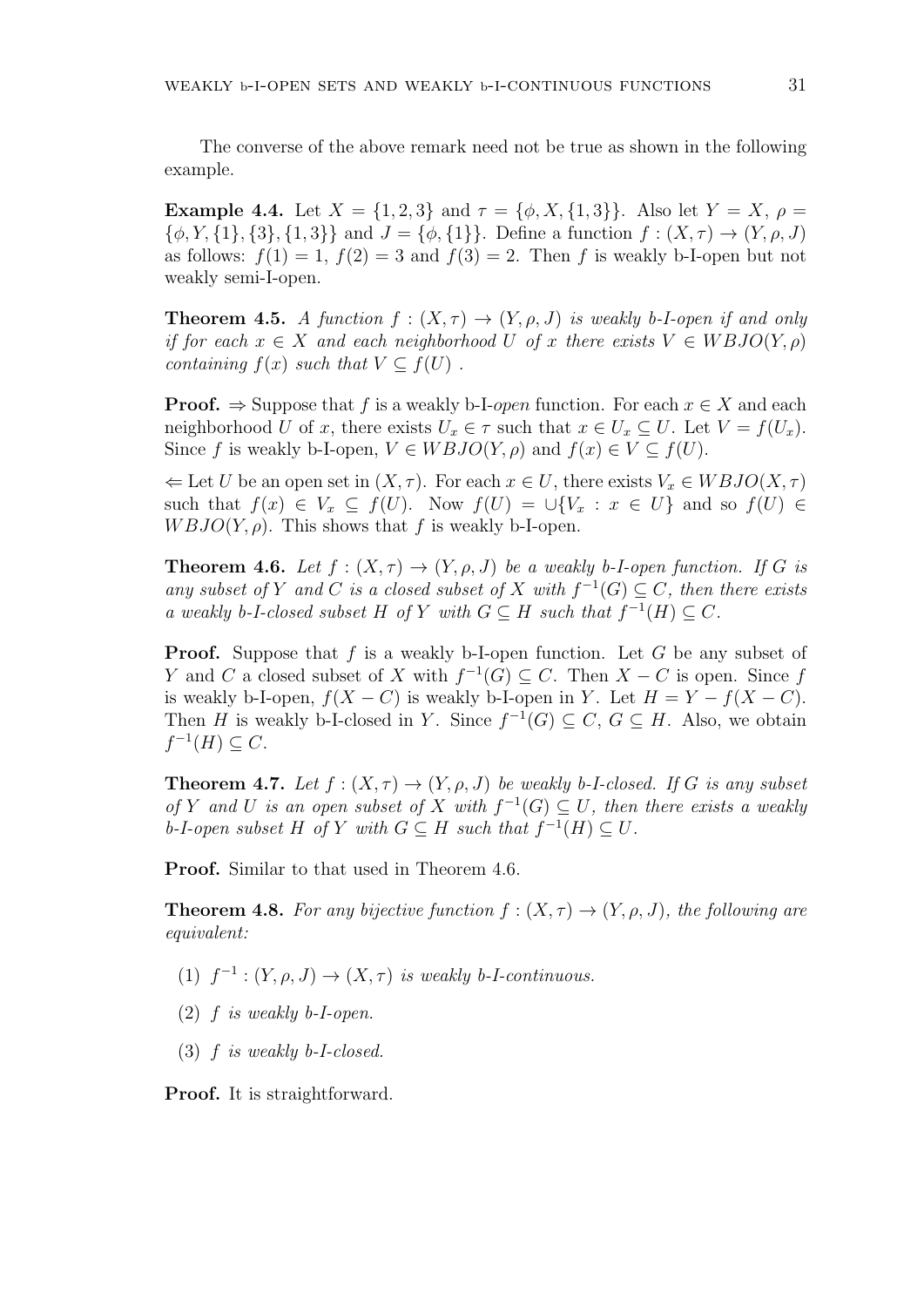The converse of the above remark need not be true as shown in the following example.

**Example 4.4.** Let  $X = \{1, 2, 3\}$  and  $\tau = \{\phi, X, \{1, 3\}\}\$ . Also let  $Y = X$ ,  $\rho =$  $\{\phi, Y, \{1\}, \{3\}, \{1,3\}\}\$ and  $J = \{\phi, \{1\}\}\$ . Define a function  $f : (X, \tau) \to (Y, \rho, J)$ as follows:  $f(1) = 1$ ,  $f(2) = 3$  and  $f(3) = 2$ . Then f is weakly b-I-open but not weakly semi-I-open.

**Theorem 4.5.** *A function*  $f : (X, \tau) \to (Y, \rho, J)$  *is weakly b-I-open if and only if for each*  $x \in X$  *and each neighborhood*  $U$  *of*  $x$  *there exists*  $V \in WBJO(Y, \rho)$ *containing*  $f(x)$  *such that*  $V \subset f(U)$ .

**Proof.**  $\Rightarrow$  Suppose that *f* is a weakly b-I-*open* function. For each  $x \in X$  and each neighborhood *U* of *x*, there exists  $U_x \in \tau$  such that  $x \in U_x \subseteq U$ . Let  $V = f(U_x)$ . Since *f* is weakly b-I-open,  $V \in WBJO(Y, \rho)$  and  $f(x) \in V \subseteq f(U)$ .

 $\Leftarrow$  Let *U* be an open set in  $(X, \tau)$ . For each  $x \in U$ , there exists  $V_x \in WBJO(X, \tau)$ such that  $f(x) \in V_x \subseteq f(U)$ . Now  $f(U) = \bigcup \{V_x : x \in U\}$  and so  $f(U) \in$  $WBJO(Y, \rho)$ . This shows that *f* is weakly b-I-open.

**Theorem 4.6.** *Let*  $f : (X, \tau) \to (Y, \rho, J)$  *be a weakly b-I-open function. If G is any subset of Y and C is a closed subset of X with*  $f^{-1}(G) \subseteq C$ *, then there exists a weakly b*-*I*-closed subset *H* of *Y with*  $G ⊆ H$  *such that*  $f^{-1}(H) ⊆ C$ *.* 

**Proof.** Suppose that *f* is a weakly b-I-open function. Let *G* be any subset of *Y* and *C* a closed subset of *X* with  $f^{-1}(G) \subseteq C$ . Then  $X - C$  is open. Since *f* is weakly b-I-open,  $f(X - C)$  is weakly b-I-open in *Y*. Let  $H = Y - f(X - C)$ . Then *H* is weakly b-I-closed in *Y*. Since  $f^{-1}(G) \subseteq C$ ,  $G \subseteq H$ . Also, we obtain  $f^{-1}(H) \subseteq C$ .

**Theorem 4.7.** Let  $f : (X, \tau) \to (Y, \rho, J)$  be weakly b-I-closed. If G is any subset *of Y* and *U* is an open subset of *X* with  $f^{-1}(G) \subseteq U$ , then there exists a weakly *b*-*I*-open subset *H* of *Y* with  $G ⊆ H$  such that  $f^{-1}(H) ⊆ U$ .

**Proof.** Similar to that used in Theorem 4.6.

**Theorem 4.8.** For any bijective function  $f : (X, \tau) \to (Y, \rho, J)$ , the following are *equivalent:*

- (1)  $f^{-1}$  :  $(Y, \rho, J) \rightarrow (X, \tau)$  *is weakly b-I-continuous.*
- (2) *f is weakly b-I-open.*
- (3) *f is weakly b-I-closed.*

**Proof.** It is straightforward.